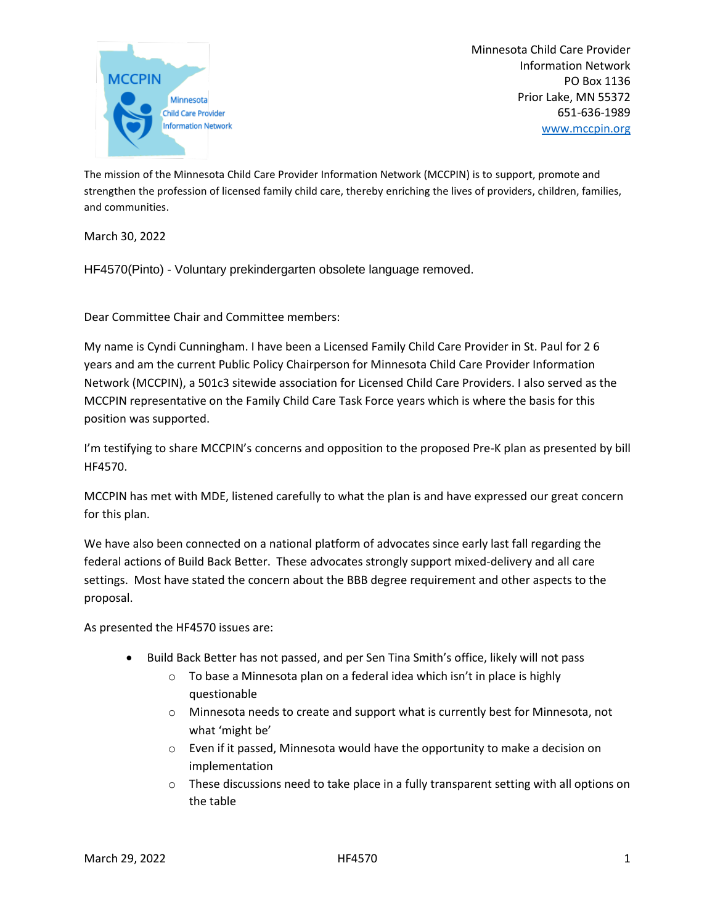

Minnesota Child Care Provider Information Network PO Box 1136 Prior Lake, MN 55372 651-636-1989 [www.mccpin.org](http://www.mccpin.org/)

The mission of the Minnesota Child Care Provider Information Network (MCCPIN) is to support, promote and strengthen the profession of licensed family child care, thereby enriching the lives of providers, children, families, and communities.

March 30, 2022

HF4570(Pinto) - Voluntary prekindergarten obsolete language removed.

Dear Committee Chair and Committee members:

My name is Cyndi Cunningham. I have been a Licensed Family Child Care Provider in St. Paul for 2 6 years and am the current Public Policy Chairperson for Minnesota Child Care Provider Information Network (MCCPIN), a 501c3 sitewide association for Licensed Child Care Providers. I also served as the MCCPIN representative on the Family Child Care Task Force years which is where the basis for this position was supported.

I'm testifying to share MCCPIN's concerns and opposition to the proposed Pre-K plan as presented by bill HF4570.

MCCPIN has met with MDE, listened carefully to what the plan is and have expressed our great concern for this plan.

We have also been connected on a national platform of advocates since early last fall regarding the federal actions of Build Back Better. These advocates strongly support mixed-delivery and all care settings. Most have stated the concern about the BBB degree requirement and other aspects to the proposal.

As presented the HF4570 issues are:

- Build Back Better has not passed, and per Sen Tina Smith's office, likely will not pass
	- o To base a Minnesota plan on a federal idea which isn't in place is highly questionable
	- o Minnesota needs to create and support what is currently best for Minnesota, not what 'might be'
	- $\circ$  Even if it passed, Minnesota would have the opportunity to make a decision on implementation
	- $\circ$  These discussions need to take place in a fully transparent setting with all options on the table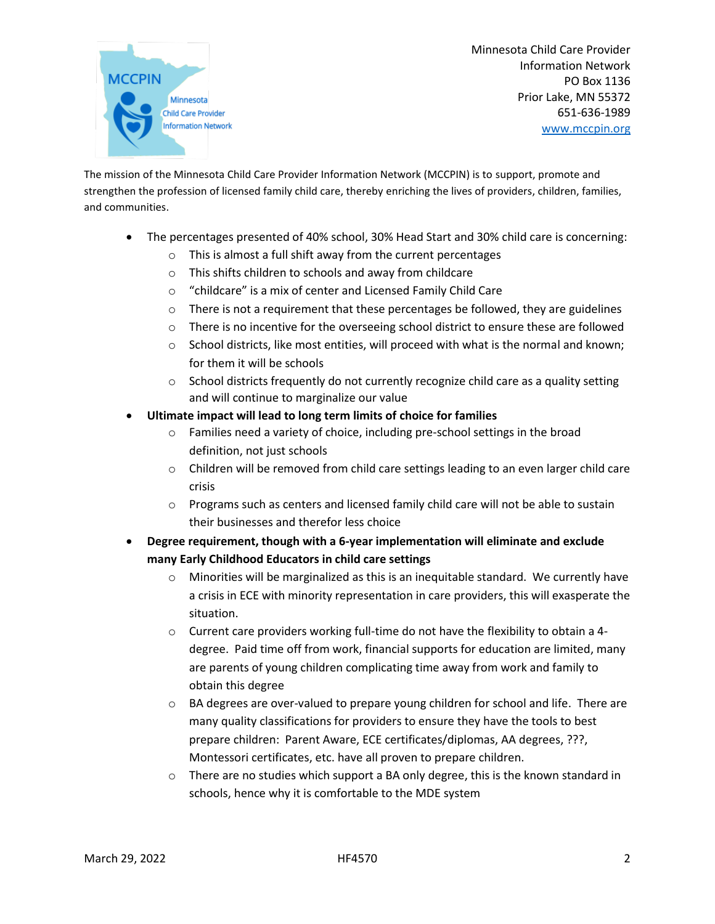

Minnesota Child Care Provider Information Network PO Box 1136 Prior Lake, MN 55372 651-636-1989 [www.mccpin.org](http://www.mccpin.org/)

The mission of the Minnesota Child Care Provider Information Network (MCCPIN) is to support, promote and strengthen the profession of licensed family child care, thereby enriching the lives of providers, children, families, and communities.

- The percentages presented of 40% school, 30% Head Start and 30% child care is concerning:
	- o This is almost a full shift away from the current percentages
	- o This shifts children to schools and away from childcare
	- o "childcare" is a mix of center and Licensed Family Child Care
	- $\circ$  There is not a requirement that these percentages be followed, they are guidelines
	- $\circ$  There is no incentive for the overseeing school district to ensure these are followed
	- $\circ$  School districts, like most entities, will proceed with what is the normal and known; for them it will be schools
	- $\circ$  School districts frequently do not currently recognize child care as a quality setting and will continue to marginalize our value
- **Ultimate impact will lead to long term limits of choice for families**
	- o Families need a variety of choice, including pre-school settings in the broad definition, not just schools
	- $\circ$  Children will be removed from child care settings leading to an even larger child care crisis
	- $\circ$  Programs such as centers and licensed family child care will not be able to sustain their businesses and therefor less choice
- **Degree requirement, though with a 6-year implementation will eliminate and exclude many Early Childhood Educators in child care settings**
	- $\circ$  Minorities will be marginalized as this is an inequitable standard. We currently have a crisis in ECE with minority representation in care providers, this will exasperate the situation.
	- $\circ$  Current care providers working full-time do not have the flexibility to obtain a 4degree. Paid time off from work, financial supports for education are limited, many are parents of young children complicating time away from work and family to obtain this degree
	- o BA degrees are over-valued to prepare young children for school and life. There are many quality classifications for providers to ensure they have the tools to best prepare children: Parent Aware, ECE certificates/diplomas, AA degrees, ???, Montessori certificates, etc. have all proven to prepare children.
	- $\circ$  There are no studies which support a BA only degree, this is the known standard in schools, hence why it is comfortable to the MDE system